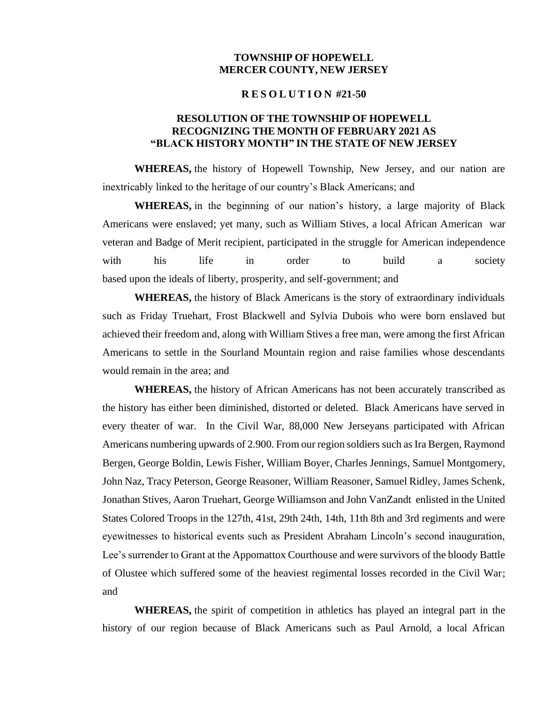## **TOWNSHIP OF HOPEWELL MERCER COUNTY, NEW JERSEY**

## **R E S O L U T I O N #21-50**

## **RESOLUTION OF THE TOWNSHIP OF HOPEWELL RECOGNIZING THE MONTH OF FEBRUARY 2021 AS "BLACK HISTORY MONTH" IN THE STATE OF NEW JERSEY**

**WHEREAS,** the history of Hopewell Township, New Jersey, and our nation are inextricably linked to the heritage of our country's Black Americans; and

**WHEREAS,** in the beginning of our nation's history, a large majority of Black Americans were enslaved; yet many, such as William Stives, a local African American war veteran and Badge of Merit recipient, participated in the struggle for American independence with his life in order to build a society based upon the ideals of liberty, prosperity, and self-government; and

**WHEREAS,** the history of Black Americans is the story of extraordinary individuals such as Friday Truehart, Frost Blackwell and Sylvia Dubois who were born enslaved but achieved their freedom and, along with William Stives a free man, were among the first African Americans to settle in the Sourland Mountain region and raise families whose descendants would remain in the area; and

**WHEREAS,** the history of African Americans has not been accurately transcribed as the history has either been diminished, distorted or deleted. Black Americans have served in every theater of war. In the Civil War, 88,000 New Jerseyans participated with African Americans numbering upwards of 2.900. From our region soldiers such as Ira Bergen, Raymond Bergen, George Boldin, Lewis Fisher, William Boyer, Charles Jennings, Samuel Montgomery, John Naz, Tracy Peterson, George Reasoner, William Reasoner, Samuel Ridley, James Schenk, Jonathan Stives, Aaron Truehart, George Williamson and John VanZandt enlisted in the United States Colored Troops in the 127th, 41st, 29th 24th, 14th, 11th 8th and 3rd regiments and were eyewitnesses to historical events such as President Abraham Lincoln's second inauguration, Lee's surrender to Grant at the Appomattox Courthouse and were survivors of the bloody Battle of Olustee which suffered some of the heaviest regimental losses recorded in the Civil War; and

**WHEREAS,** the spirit of competition in athletics has played an integral part in the history of our region because of Black Americans such as Paul Arnold, a local African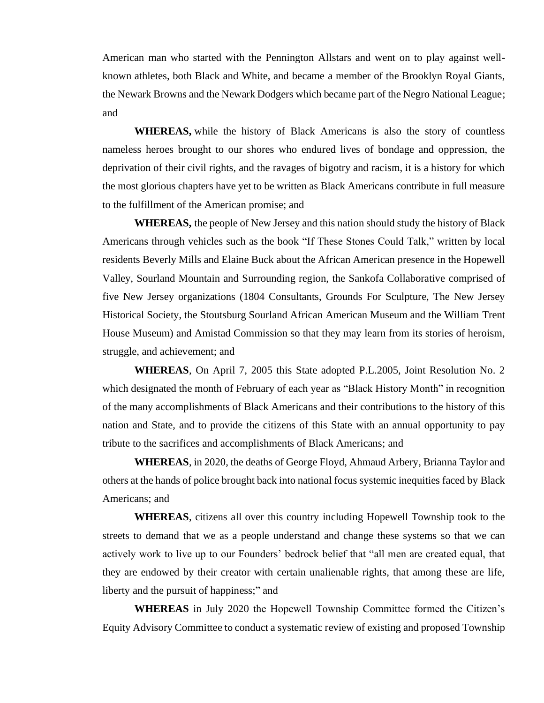American man who started with the Pennington Allstars and went on to play against wellknown athletes, both Black and White, and became a member of the Brooklyn Royal Giants, the Newark Browns and the Newark Dodgers which became part of the Negro National League; and

**WHEREAS,** while the history of Black Americans is also the story of countless nameless heroes brought to our shores who endured lives of bondage and oppression, the deprivation of their civil rights, and the ravages of bigotry and racism, it is a history for which the most glorious chapters have yet to be written as Black Americans contribute in full measure to the fulfillment of the American promise; and

**WHEREAS,** the people of New Jersey and this nation should study the history of Black Americans through vehicles such as the book "If These Stones Could Talk," written by local residents Beverly Mills and Elaine Buck about the African American presence in the Hopewell Valley, Sourland Mountain and Surrounding region, the Sankofa Collaborative comprised of five New Jersey organizations (1804 Consultants, Grounds For Sculpture, The New Jersey Historical Society, the Stoutsburg Sourland African American Museum and the William Trent House Museum) and Amistad Commission so that they may learn from its stories of heroism, struggle, and achievement; and

**WHEREAS**, On April 7, 2005 this State adopted P.L.2005, Joint Resolution No. 2 which designated the month of February of each year as "Black History Month" in recognition of the many accomplishments of Black Americans and their contributions to the history of this nation and State, and to provide the citizens of this State with an annual opportunity to pay tribute to the sacrifices and accomplishments of Black Americans; and

**WHEREAS**, in 2020, the deaths of George Floyd, Ahmaud Arbery, Brianna Taylor and others at the hands of police brought back into national focus systemic inequities faced by Black Americans; and

**WHEREAS**, citizens all over this country including Hopewell Township took to the streets to demand that we as a people understand and change these systems so that we can actively work to live up to our Founders' bedrock belief that "all men are created equal, that they are endowed by their creator with certain unalienable rights, that among these are life, liberty and the pursuit of happiness;" and

**WHEREAS** in July 2020 the Hopewell Township Committee formed the Citizen's Equity Advisory Committee to conduct a systematic review of existing and proposed Township